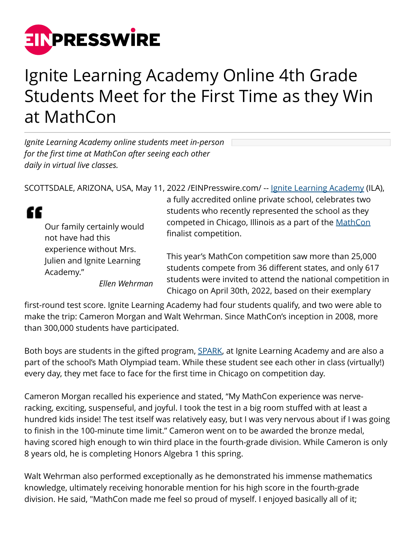

## Ignite Learning Academy Online 4th Grade Students Meet for the First Time as they Win at MathCon

*Ignite Learning Academy online students meet in-person for the first time at MathCon after seeing each other daily in virtual live classes.*

SCOTTSDALE, ARIZONA, USA, May 11, 2022 / EINPresswire.com/ -- [Ignite Learning Academy](https://www.ignitelearningacademy.com/) (ILA),

££ Our family certainly would not have had this experience without Mrs. Julien and Ignite Learning Academy."

*Ellen Wehrman*

a fully accredited online private school, celebrates two students who recently represented the school as they competed in Chicago, Illinois as a part of the [MathCon](https://www.mathcon.org/) finalist competition.

This year's MathCon competition saw more than 25,000 students compete from 36 different states, and only 617 students were invited to attend the national competition in Chicago on April 30th, 2022, based on their exemplary

first-round test score. Ignite Learning Academy had four students qualify, and two were able to make the trip: Cameron Morgan and Walt Wehrman. Since MathCon's inception in 2008, more than 300,000 students have participated.

Both boys are students in the gifted program, **SPARK**, at Ignite Learning Academy and are also a part of the school's Math Olympiad team. While these student see each other in class (virtually!) every day, they met face to face for the first time in Chicago on competition day.

Cameron Morgan recalled his experience and stated, "My MathCon experience was nerveracking, exciting, suspenseful, and joyful. I took the test in a big room stuffed with at least a hundred kids inside! The test itself was relatively easy, but I was very nervous about if I was going to finish in the 100-minute time limit." Cameron went on to be awarded the bronze medal, having scored high enough to win third place in the fourth-grade division. While Cameron is only 8 years old, he is completing Honors Algebra 1 this spring.

Walt Wehrman also performed exceptionally as he demonstrated his immense mathematics knowledge, ultimately receiving honorable mention for his high score in the fourth-grade division. He said, "MathCon made me feel so proud of myself. I enjoyed basically all of it;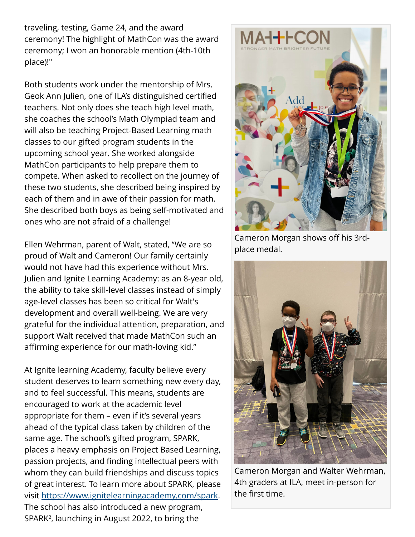traveling, testing, Game 24, and the award ceremony! The highlight of MathCon was the award ceremony; I won an honorable mention (4th-10th place)!"

Both students work under the mentorship of Mrs. Geok Ann Julien, one of ILA's distinguished certified teachers. Not only does she teach high level math, she coaches the school's Math Olympiad team and will also be teaching Project-Based Learning math classes to our gifted program students in the upcoming school year. She worked alongside MathCon participants to help prepare them to compete. When asked to recollect on the journey of these two students, she described being inspired by each of them and in awe of their passion for math. She described both boys as being self-motivated and ones who are not afraid of a challenge!

Ellen Wehrman, parent of Walt, stated, "We are so proud of Walt and Cameron! Our family certainly would not have had this experience without Mrs. Julien and Ignite Learning Academy: as an 8-year old, the ability to take skill-level classes instead of simply age-level classes has been so critical for Walt's development and overall well-being. We are very grateful for the individual attention, preparation, and support Walt received that made MathCon such an affirming experience for our math-loving kid."

At Ignite learning Academy, faculty believe every student deserves to learn something new every day, and to feel successful. This means, students are encouraged to work at the academic level appropriate for them – even if it's several years ahead of the typical class taken by children of the same age. The school's gifted program, SPARK, places a heavy emphasis on Project Based Learning, passion projects, and finding intellectual peers with whom they can build friendships and discuss topics of great interest. To learn more about SPARK, please visit [https://www.ignitelearningacademy.com/spark.](https://www.ignitelearningacademy.com/spark) The school has also introduced a new program, SPARK², launching in August 2022, to bring the



Cameron Morgan shows off his 3rdplace medal.



Cameron Morgan and Walter Wehrman, 4th graders at ILA, meet in-person for the first time.